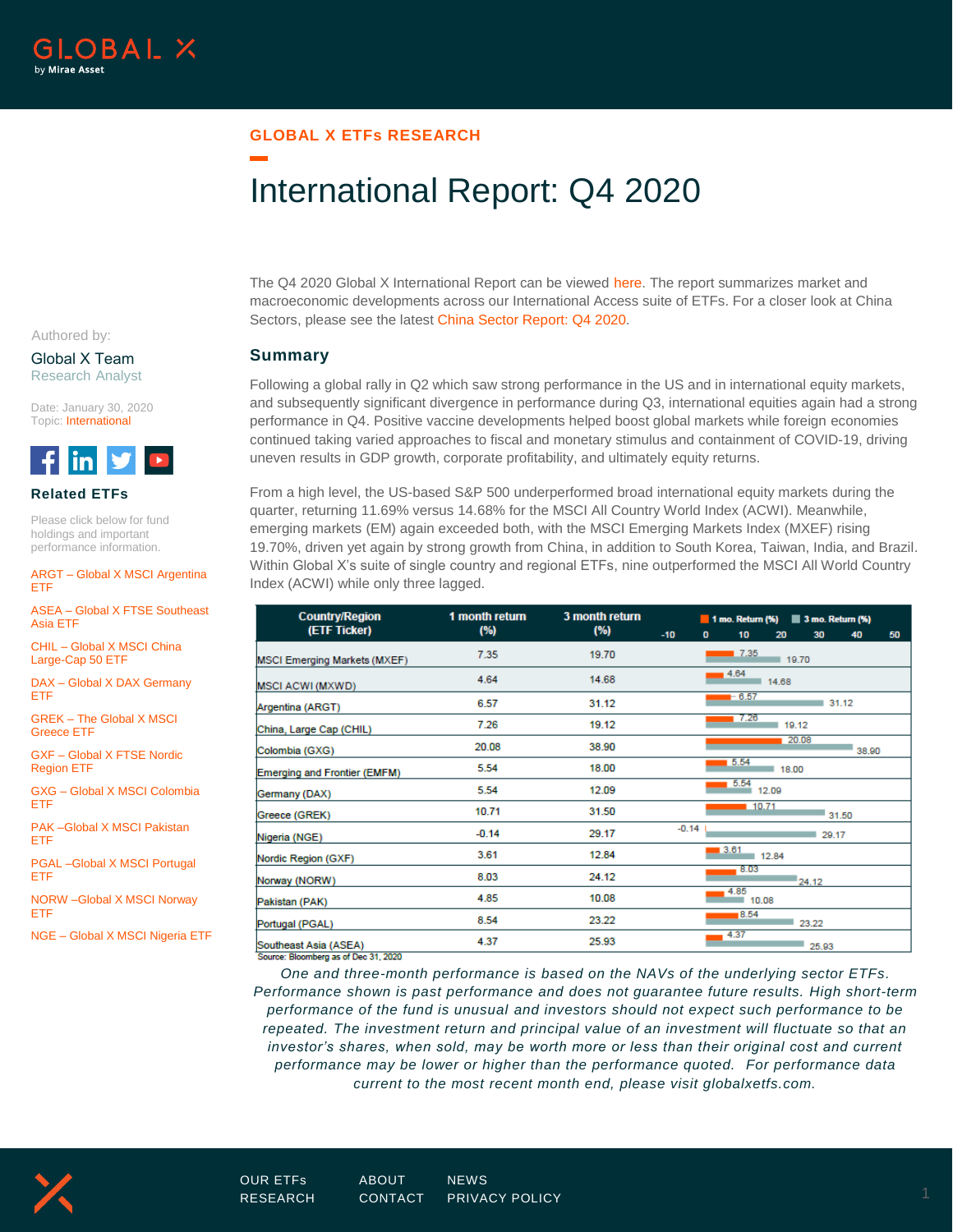## **GLOBAL X ETFs RESEARCH**

# International Report: Q4 2020

The Q4 2020 Global X International Report can be viewed [here.](https://www.globalxetfs.com/content/files/International-Report-Q4-2020.pdf) The report summarizes market and macroeconomic developments across our International Access suite of ETFs. For a closer look at China Sectors, please see the latest [China Sector Report: Q4](https://www.globalxetfs.com/china-sector-report-q4-2020/) 2020.

#### **Summary**

Following a global rally in Q2 which saw strong performance in the US and in international equity markets, and subsequently significant divergence in performance during Q3, international equities again had a strong performance in Q4. Positive vaccine developments helped boost global markets while foreign economies continued taking varied approaches to fiscal and monetary stimulus and containment of COVID-19, driving uneven results in GDP growth, corporate profitability, and ultimately equity returns.

From a high level, the US-based S&P 500 underperformed broad international equity markets during the quarter, returning 11.69% versus 14.68% for the MSCI All Country World Index (ACWI). Meanwhile, emerging markets (EM) again exceeded both, with the MSCI Emerging Markets Index (MXEF) rising 19.70%, driven yet again by strong growth from China, in addition to South Korea, Taiwan, India, and Brazil. Within Global X's suite of single country and regional ETFs, nine outperformed the MSCI All World Country Index (ACWI) while only three lagged.

| <b>Country/Region</b>               | 1 month return | 3 month return | $\blacksquare$ 1 mo. Return (%) $\blacksquare$ 3 mo. Return (%) |                |                  |       |       |       |    |  |  |
|-------------------------------------|----------------|----------------|-----------------------------------------------------------------|----------------|------------------|-------|-------|-------|----|--|--|
| (ETF Ticker)                        | (%)            | (%)            | $-10$                                                           | $\mathbf{0}$   | 10               | 20    | 30    | 40    | 50 |  |  |
| <b>MSCI Emerging Markets (MXEF)</b> | 7.35           | 19.70          |                                                                 |                | 17.35<br>■ 19.70 |       |       |       |    |  |  |
| <b>MSCI ACWI (MXWD)</b>             | 4.64           | 14.68          |                                                                 | 14.64<br>14.68 |                  |       |       |       |    |  |  |
| Argentina (ARGT)                    | 6.57           | 31.12          |                                                                 |                | $-6.57$          |       |       | 31.12 |    |  |  |
| China, Large Cap (CHIL)             | 7.26           | 19.12          |                                                                 |                | 7.26             |       | 19.12 |       |    |  |  |
| Colombia (GXG)                      | 20.08          | 38.90          |                                                                 |                |                  |       | 20.08 | 38.90 |    |  |  |
| Emerging and Frontier (EMFM)        | 5.54           | 18.00          |                                                                 |                | 5.54             | 18.00 |       |       |    |  |  |
| Germany (DAX)                       | 5.54           | 12.09          |                                                                 |                | 5.54             | 12.09 |       |       |    |  |  |
| Greece (GREK)                       | 10.71          | 31.50          |                                                                 |                | 10.71            |       |       | 31.50 |    |  |  |
| Nigeria (NGE)                       | $-0.14$        | 29.17          | $-0.14$                                                         |                |                  |       | 29.17 |       |    |  |  |
| Nordic Region (GXF)                 | 3.61           | 12.84          |                                                                 |                | 3.61             | 12.84 |       |       |    |  |  |
| Norway (NORW)                       | 8.03           | 24.12          |                                                                 |                | 8.03             |       | 24.12 |       |    |  |  |
| Pakistan (PAK)                      | 4.85           | 10.08          |                                                                 | 4.85<br>10.08  |                  |       |       |       |    |  |  |
| Portugal (PGAL)                     | 8.54           | 23.22          |                                                                 |                | 8.54             |       | 23.22 |       |    |  |  |
| Southeast Asia (ASEA)               | 4.37           | 25.93          |                                                                 |                | 4.37             |       | 25.93 |       |    |  |  |

Source: Bloomberg as of Dec 31, 2020

*One and three-month performance is based on the NAVs of the underlying sector ETFs. Performance shown is past performance and does not guarantee future results. High short-term performance of the fund is unusual and investors should not expect such performance to be repeated. The investment return and principal value of an investment will fluctuate so that an investor's shares, when sold, may be worth more or less than their original cost and current performance may be lower or higher than the performance quoted. For performance data current to the most recent month end, please visit globalxetfs.com.*



Global X Team Research Analyst

Date: January 30, 2020 Topic: International



#### **Related ETFs**

Please click below for fund holdings and important performance information.

ARGT – [Global X MSCI Argentina](https://www.globalxetfs.com/funds/argt/)  [ETF](https://www.globalxetfs.com/funds/argt/)

ASEA – [Global X FTSE Southeast](https://www.globalxetfs.com/funds/asea/)  [Asia ETF](https://www.globalxetfs.com/funds/asea/)

CHIL – [Global X MSCI China](https://www.globalxetfs.com/funds/chil/)  [Large-Cap 50 ETF](https://www.globalxetfs.com/funds/chil/)

DAX – [Global X DAX Germany](https://www.globalxetfs.com/funds/dax/)  [ETF](https://www.globalxetfs.com/funds/dax/)

GREK – [The Global X MSCI](https://www.globalxetfs.com/funds/grek/)  [Greece ETF](https://www.globalxetfs.com/funds/grek/)

GXF – [Global X FTSE Nordic](https://www.globalxetfs.com/funds/grek/)  [Region ETF](https://www.globalxetfs.com/funds/grek/)

GXG – [Global X MSCI Colombia](https://www.globalxetfs.com/funds/gxg/)  [ETF](https://www.globalxetfs.com/funds/gxg/)

[PAK –Global X MSCI Pakistan](https://www.globalxetfs.com/funds/pak/)  [ETF](https://www.globalxetfs.com/funds/pak/)

[PGAL –Global X MSCI Portugal](https://www.globalxetfs.com/funds/pgal/)  [ETF](https://www.globalxetfs.com/funds/pgal/)

[NORW –Global X MSCI Norway](https://www.globalxetfs.com/funds/norw/)  [ETF](https://www.globalxetfs.com/funds/norw/)

NGE – [Global X MSCI Nigeria ETF](https://www.globalxetfs.com/funds/nge/)

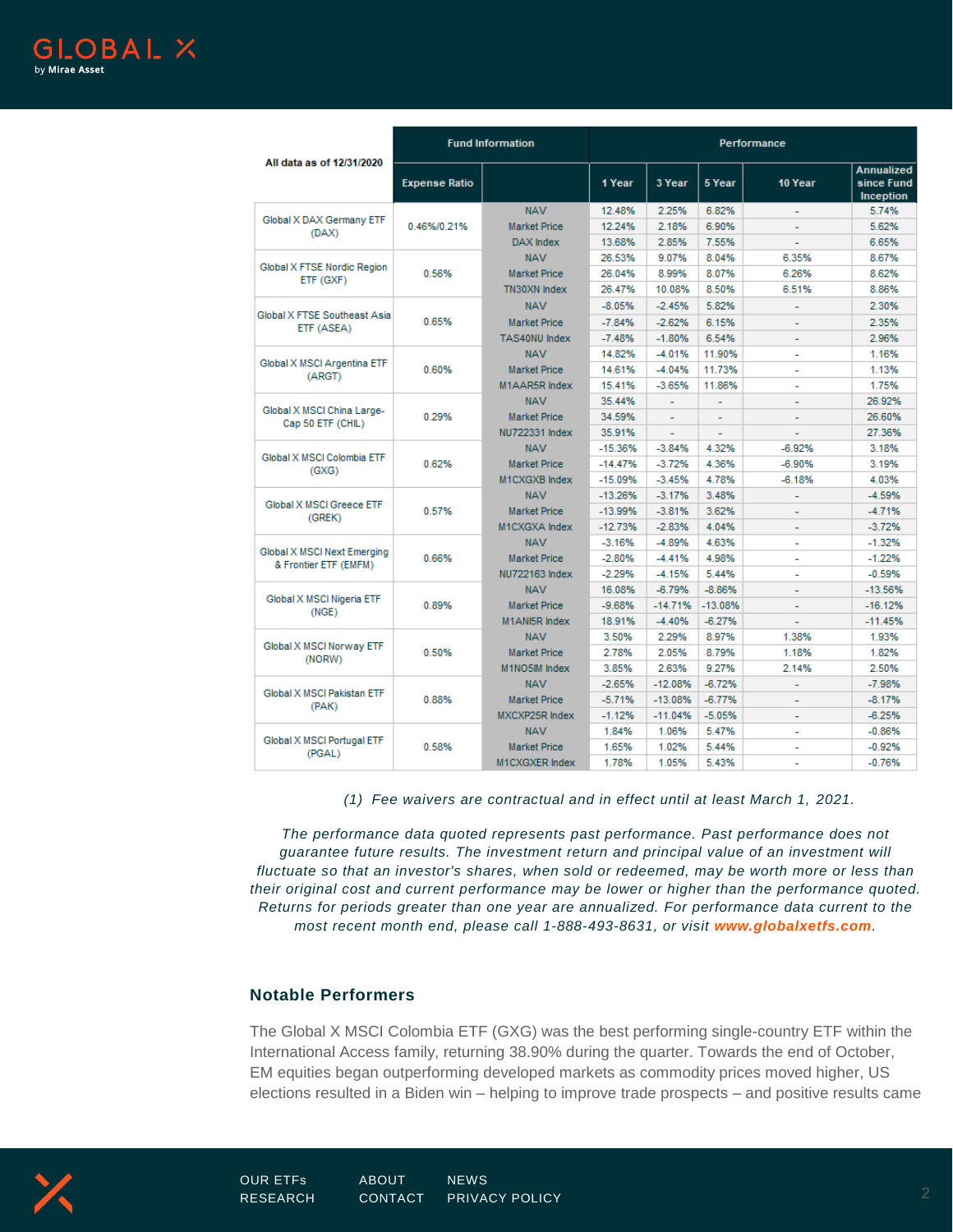

|                                                      | <b>Fund Information</b> |                       | Performance |                |                |                |                                                     |  |
|------------------------------------------------------|-------------------------|-----------------------|-------------|----------------|----------------|----------------|-----------------------------------------------------|--|
| All data as of 12/31/2020                            | <b>Expense Ratio</b>    |                       | 1 Year      | 3 Year         | 5 Year         | 10 Year        | <b>Annualized</b><br>since Fund<br><b>Inception</b> |  |
| Global X DAX Germany ETF<br>(DAX)                    | 0.46%/0.21%             | <b>NAV</b>            | 12.48%      | 2.25%          | 6.82%          |                | 5.74%                                               |  |
|                                                      |                         | <b>Market Price</b>   | 12.24%      | 2.18%          | 6.90%          |                | 5.62%                                               |  |
|                                                      |                         | DAX Index             | 13.68%      | 2.85%          | 7.55%          | L              | 6.65%                                               |  |
| Global X FTSE Nordic Region<br>ETF (GXF)             | 0.56%                   | <b>NAV</b>            | 26.53%      | 9.07%          | 8.04%          | 6.35%          | 8.67%                                               |  |
|                                                      |                         | <b>Market Price</b>   | 26.04%      | 8.99%          | 8.07%          | 6.26%          | 8.62%                                               |  |
|                                                      |                         | TN30XN Index          | 26.47%      | 10.08%         | 8.50%          | 6.51%          | 8.86%                                               |  |
|                                                      | 0.65%                   | <b>NAV</b>            | $-8.05%$    | $-2.45%$       | 5.82%          |                | 2.30%                                               |  |
| Global X FTSE Southeast Asia<br>ETF (ASEA)           |                         | <b>Market Price</b>   | $-784%$     | $-2.62%$       | 6.15%          |                | 2.35%                                               |  |
|                                                      |                         | TAS40NU Index         | $-748%$     | $-1.80%$       | 6.54%          |                | 2.96%                                               |  |
| Global X MSCI Argentina ETF<br>(ARGT)                | 0.60%                   | <b>NAV</b>            | 14 82%      | $-4.01%$       | 11.90%         | $\overline{a}$ | 1.16%                                               |  |
|                                                      |                         | <b>Market Price</b>   | 14.61%      | $-4.04%$       | 11.73%         |                | 1.13%                                               |  |
|                                                      |                         | M1AAR5R Index         | 15.41%      | $-3.65%$       | 11.86%         | L              | 1.75%                                               |  |
| Global X MSCI China Large-<br>Cap 50 ETF (CHIL)      | 0.29%                   | <b>NAV</b>            | 35 44%      | $\overline{a}$ | $\overline{a}$ | $\overline{a}$ | 26.92%                                              |  |
|                                                      |                         | <b>Market Price</b>   | 34.59%      |                |                |                | 26.60%                                              |  |
|                                                      |                         | NU722331 Index        | 35.91%      | ä,             | ÷.             | L,             | 27.36%                                              |  |
| Global X MSCLColombia FTF<br>(GXG)                   | 0.62%                   | <b>NAV</b>            | $-15.36%$   | $-3.84%$       | 4.32%          | $-6.92%$       | 3.18%                                               |  |
|                                                      |                         | <b>Market Price</b>   | $-14.47%$   | $-3.72%$       | 4.36%          | $-6.90%$       | 3.19%                                               |  |
|                                                      |                         | M1CXGXB Index         | $-15.09%$   | $-3.45%$       | 4.78%          | $-6.18%$       | 4.03%                                               |  |
| Global X MSCI Greece ETF<br>(GREK)                   | 0.57%                   | <b>NAV</b>            | $-13.26%$   | $-3.17%$       | 3.48%          |                | $-4.59%$                                            |  |
|                                                      |                         | <b>Market Price</b>   | $-13.99%$   | $-3.81%$       | 3.62%          |                | $-4.71%$                                            |  |
|                                                      |                         | M1CXGXA Index         | $-12.73%$   | $-2.83%$       | 4 04%          | ÷              | $-3.72%$                                            |  |
| Global X MSCI Next Emerging<br>& Frontier ETF (EMFM) | 0.66%                   | <b>NAV</b>            | $-3.16%$    | $-4.89%$       | 4 63%          |                | $-1.32%$                                            |  |
|                                                      |                         | <b>Market Price</b>   | $-2.80%$    | $-4.41%$       | 4.98%          | ٠              | $-1.22%$                                            |  |
|                                                      |                         | NU722163 Index        | $-2.29%$    | $-4.15%$       | 5.44%          | ٠              | $-0.59%$                                            |  |
| Global X MSCI Nigeria ETF<br>(NGE)                   | 0.89%                   | <b>NAV</b>            | 16.08%      | $-6.79%$       | $-8.86%$       |                | $-13.56%$                                           |  |
|                                                      |                         | <b>Market Price</b>   | $-9.68%$    | $-14.71%$      | $-13.08%$      | L              | $-16.12%$                                           |  |
|                                                      |                         | M1ANI5R Index         | 18.91%      | $-4.40%$       | $-6.27%$       |                | $-11.45%$                                           |  |
| Global X MSCI Norway ETF<br>(NORW)                   | 0.50%                   | <b>NAV</b>            | 3.50%       | 2.29%          | 8.97%          | 1.38%          | 1.93%                                               |  |
|                                                      |                         | <b>Market Price</b>   | 2.78%       | 2.05%          | 8.79%          | 1.18%          | 1.82%                                               |  |
|                                                      |                         | M1NO5IM Index         | 3.85%       | 2.63%          | 9.27%          | 2.14%          | 2.50%                                               |  |
| Global X MSCI Pakistan ETF<br>(PAK)                  | 0.88%                   | <b>NAV</b>            | $-2.65%$    | $-12.08%$      | $-6.72%$       | L,             | $-7.98%$                                            |  |
|                                                      |                         | <b>Market Price</b>   | $-5.71%$    | $-13.08%$      | $-6.77%$       | ٠              | $-8.17%$                                            |  |
|                                                      |                         | <b>MXCXP25R Index</b> | $-1.12%$    | $-11.04%$      | $-5.05%$       |                | $-6.25%$                                            |  |
| Global X MSCI Portugal ETF<br>(PGAL)                 |                         | <b>NAV</b>            | 1.84%       | 1.06%          | 5.47%          | ä,             | $-0.86%$                                            |  |
|                                                      | 0.58%                   | <b>Market Price</b>   | 1.65%       | 1.02%          | 5.44%          |                | $-0.92%$                                            |  |
|                                                      |                         | <b>M1CXGXER</b> Index | 1.78%       | 1.05%          | 5.43%          |                | $-0.76%$                                            |  |

*(1) Fee waivers are contractual and in effect until at least March 1, 2021.* 

*The performance data quoted represents past performance. Past performance does not guarantee future results. The investment return and principal value of an investment will fluctuate so that an investor's shares, when sold or redeemed, may be worth more or less than their original cost and current performance may be lower or higher than the performance quoted. Returns for periods greater than one year are annualized. For performance data current to the most recent month end, please call 1-888-493-8631, or visit [www.globalxetfs.com](http://www.globalxetfs.com/).*

## **Notable Performers**

The Global X MSCI Colombia ETF (GXG) was the best performing single-country ETF within the International Access family, returning 38.90% during the quarter. Towards the end of October, EM equities began outperforming developed markets as commodity prices moved higher, US elections resulted in a Biden win – helping to improve trade prospects – and positive results came

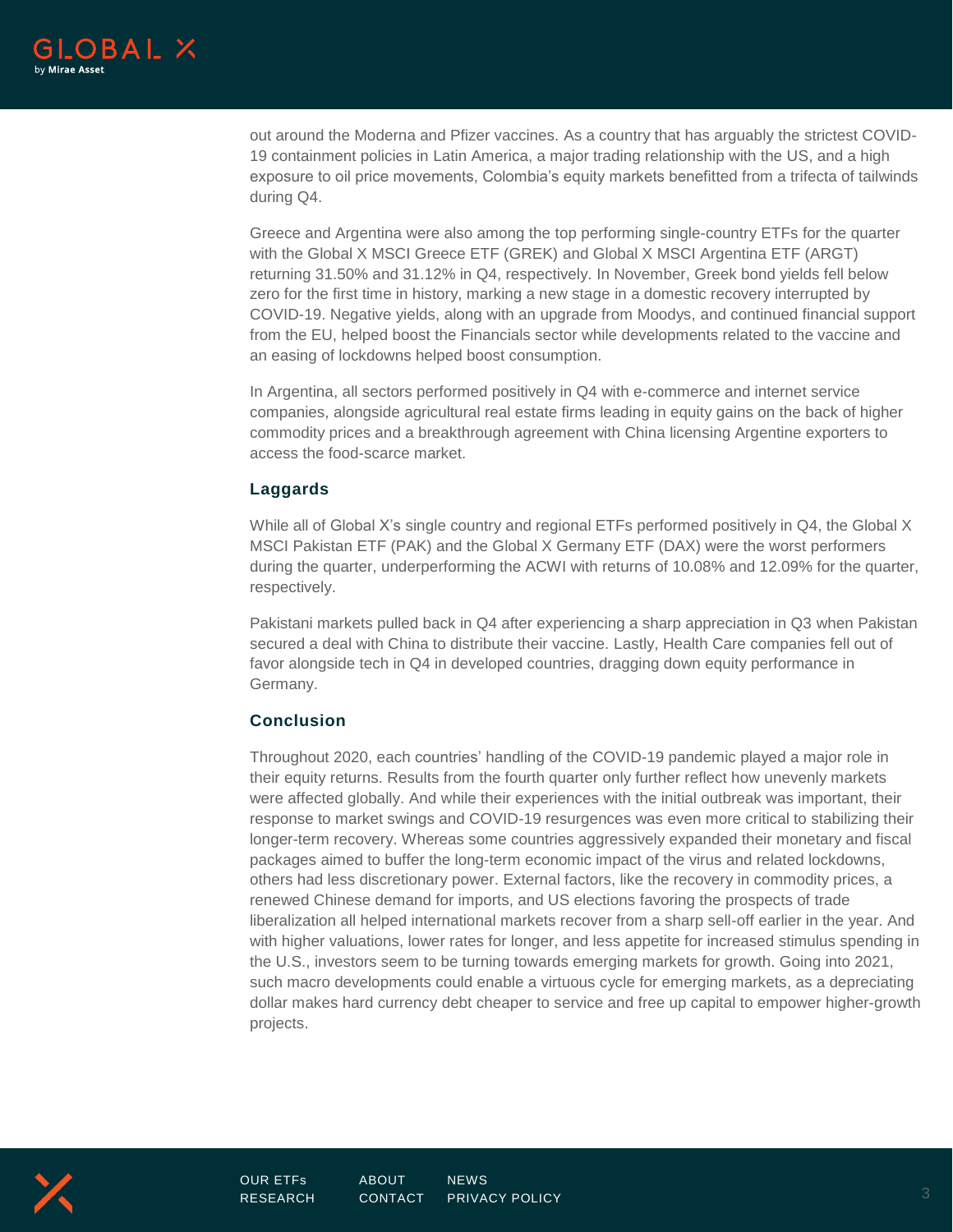

out around the Moderna and Pfizer vaccines. As a country that has arguably the strictest COVID-19 containment policies in Latin America, a major trading relationship with the US, and a high exposure to oil price movements, Colombia's equity markets benefitted from a trifecta of tailwinds during Q4.

Greece and Argentina were also among the top performing single-country ETFs for the quarter with the Global X MSCI Greece ETF (GREK) and Global X MSCI Argentina ETF (ARGT) returning 31.50% and 31.12% in Q4, respectively. In November, Greek bond yields fell below zero for the first time in history, marking a new stage in a domestic recovery interrupted by COVID-19. Negative yields, along with an upgrade from Moodys, and continued financial support from the EU, helped boost the Financials sector while developments related to the vaccine and an easing of lockdowns helped boost consumption.

In Argentina, all sectors performed positively in Q4 with e-commerce and internet service companies, alongside agricultural real estate firms leading in equity gains on the back of higher commodity prices and a breakthrough agreement with China licensing Argentine exporters to access the food-scarce market.

### **Laggards**

While all of Global X's single country and regional ETFs performed positively in Q4, the Global X MSCI Pakistan ETF (PAK) and the Global X Germany ETF (DAX) were the worst performers during the quarter, underperforming the ACWI with returns of 10.08% and 12.09% for the quarter, respectively.

Pakistani markets pulled back in Q4 after experiencing a sharp appreciation in Q3 when Pakistan secured a deal with China to distribute their vaccine. Lastly, Health Care companies fell out of favor alongside tech in Q4 in developed countries, dragging down equity performance in Germany.

## **Conclusion**

Throughout 2020, each countries' handling of the COVID-19 pandemic played a major role in their equity returns. Results from the fourth quarter only further reflect how unevenly markets were affected globally. And while their experiences with the initial outbreak was important, their response to market swings and COVID-19 resurgences was even more critical to stabilizing their longer-term recovery. Whereas some countries aggressively expanded their monetary and fiscal packages aimed to buffer the long-term economic impact of the virus and related lockdowns, others had less discretionary power. External factors, like the recovery in commodity prices, a renewed Chinese demand for imports, and US elections favoring the prospects of trade liberalization all helped international markets recover from a sharp sell-off earlier in the year. And with higher valuations, lower rates for longer, and less appetite for increased stimulus spending in the U.S., investors seem to be turning towards emerging markets for growth. Going into 2021, such macro developments could enable a virtuous cycle for emerging markets, as a depreciating dollar makes hard currency debt cheaper to service and free up capital to empower higher-growth projects.